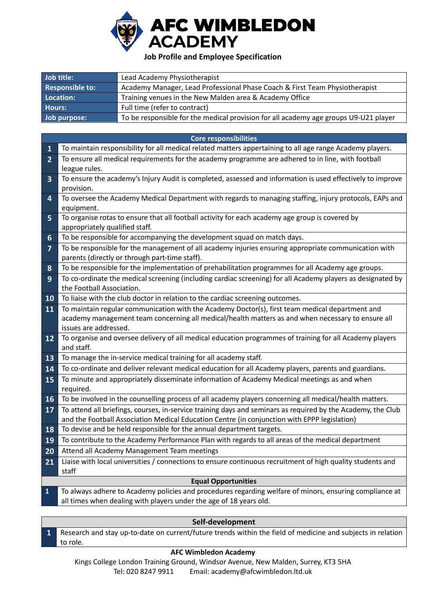

## **Job Profile and Employee Specification**

| Job title:             | Lead Academy Physiotherapist                                                         |  |
|------------------------|--------------------------------------------------------------------------------------|--|
| <b>Responsible to:</b> | Academy Manager, Lead Professional Phase Coach & First Team Physiotherapist          |  |
| Location:              | Training venues in the New Malden area & Academy Office                              |  |
| Hours:                 | Full time (refer to contract)                                                        |  |
| Job purpose:           | To be responsible for the medical provision for all academy age groups U9-U21 player |  |

|                         | <b>Core responsibilities</b>                                                                                                                                                                         |  |  |
|-------------------------|------------------------------------------------------------------------------------------------------------------------------------------------------------------------------------------------------|--|--|
| $\mathbf{1}$            | To maintain responsibility for all medical related matters appertaining to all age range Academy players.                                                                                            |  |  |
| $\overline{2}$          | To ensure all medical requirements for the academy programme are adhered to in line, with football<br>league rules.                                                                                  |  |  |
| $\overline{\mathbf{3}}$ | To ensure the academy's Injury Audit is completed, assessed and information is used effectively to improve<br>provision.                                                                             |  |  |
| 4                       | To oversee the Academy Medical Department with regards to managing staffing, injury protocols, EAPs and<br>equipment.                                                                                |  |  |
| 5                       | To organise rotas to ensure that all football activity for each academy age group is covered by<br>appropriately qualified staff.                                                                    |  |  |
| 6                       | To be responsible for accompanying the development squad on match days.                                                                                                                              |  |  |
| $\overline{7}$          | To be responsible for the management of all academy injuries ensuring appropriate communication with<br>parents (directly or through part-time staff).                                               |  |  |
| 8                       | To be responsible for the implementation of prehabilitation programmes for all Academy age groups.                                                                                                   |  |  |
| 9                       | To co-ordinate the medical screening (including cardiac screening) for all Academy players as designated by<br>the Football Association.                                                             |  |  |
| 10                      | To liaise with the club doctor in relation to the cardiac screening outcomes.                                                                                                                        |  |  |
| 11                      | To maintain regular communication with the Academy Doctor(s), first team medical department and<br>academy management team concerning all medical/health matters as and when necessary to ensure all |  |  |
| 12                      | issues are addressed.<br>To organise and oversee delivery of all medical education programmes of training for all Academy players<br>and staff.                                                      |  |  |
| 13                      | To manage the in-service medical training for all academy staff.                                                                                                                                     |  |  |
| 14                      | To co-ordinate and deliver relevant medical education for all Academy players, parents and guardians.                                                                                                |  |  |
| 15                      | To minute and appropriately disseminate information of Academy Medical meetings as and when<br>required.                                                                                             |  |  |
| 16                      | To be involved in the counselling process of all academy players concerning all medical/health matters.                                                                                              |  |  |
| 17                      | To attend all briefings, courses, in-service training days and seminars as required by the Academy, the Club                                                                                         |  |  |
|                         | and the Football Association Medical Education Centre (in conjunction with EPPP legislation)                                                                                                         |  |  |
| 18                      | To devise and be held responsible for the annual department targets.                                                                                                                                 |  |  |
| 19                      | To contribute to the Academy Performance Plan with regards to all areas of the medical department                                                                                                    |  |  |
| 20                      | Attend all Academy Management Team meetings                                                                                                                                                          |  |  |
| 21                      | Liaise with local universities / connections to ensure continuous recruitment of high quality students and<br>staff                                                                                  |  |  |
|                         | <b>Equal Opportunities</b>                                                                                                                                                                           |  |  |
| $\mathbf{1}$            | To always adhere to Academy policies and procedures regarding welfare of minors, ensuring compliance at<br>all times when dealing with players under the age of 18 years old.                        |  |  |
|                         |                                                                                                                                                                                                      |  |  |

## **Self-development**

**1** Research and stay up-to-date on current/future trends within the field of medicine and subjects in relation to role.

## **AFC Wimbledon Academy**